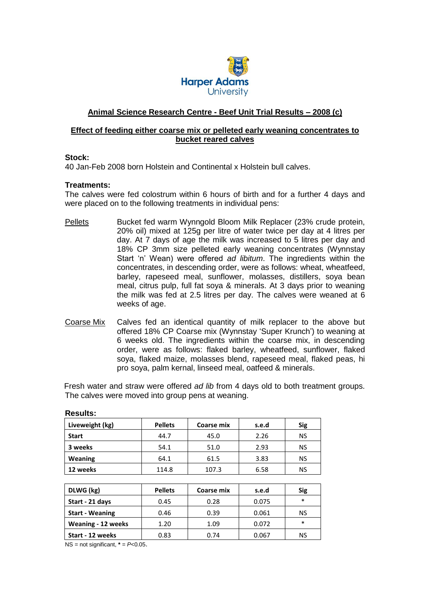

# **Animal Science Research Centre - Beef Unit Trial Results – 2008 (c)**

### **Effect of feeding either coarse mix or pelleted early weaning concentrates to bucket reared calves**

#### **Stock:**

40 Jan-Feb 2008 born Holstein and Continental x Holstein bull calves.

#### **Treatments:**

The calves were fed colostrum within 6 hours of birth and for a further 4 days and were placed on to the following treatments in individual pens:

- Pellets Bucket fed warm Wynngold Bloom Milk Replacer (23% crude protein, 20% oil) mixed at 125g per litre of water twice per day at 4 litres per day. At 7 days of age the milk was increased to 5 litres per day and 18% CP 3mm size pelleted early weaning concentrates (Wynnstay Start 'n' Wean) were offered *ad libitum*. The ingredients within the concentrates, in descending order, were as follows: wheat, wheatfeed, barley, rapeseed meal, sunflower, molasses, distillers, soya bean meal, citrus pulp, full fat soya & minerals. At 3 days prior to weaning the milk was fed at 2.5 litres per day. The calves were weaned at 6 weeks of age.
- Coarse Mix Calves fed an identical quantity of milk replacer to the above but offered 18% CP Coarse mix (Wynnstay 'Super Krunch') to weaning at 6 weeks old. The ingredients within the coarse mix, in descending order, were as follows: flaked barley, wheatfeed, sunflower, flaked soya, flaked maize, molasses blend, rapeseed meal, flaked peas, hi pro soya, palm kernal, linseed meal, oatfeed & minerals.

Fresh water and straw were offered *ad lib* from 4 days old to both treatment groups. The calves were moved into group pens at weaning.

| Liveweight (kg) | <b>Pellets</b> | Coarse mix | s.e.d | <b>Sig</b> |
|-----------------|----------------|------------|-------|------------|
| <b>Start</b>    | 44.7           | 45.0       | 2.26  | <b>NS</b>  |
| 3 weeks         | 54.1           | 51.0       | 2.93  | NS         |
| Weaning         | 64.1           | 61.5       | 3.83  | NS         |
| 12 weeks        | 114.8          | 107.3      | 6.58  | <b>NS</b>  |

#### **Results:**

| DLWG (kg)                 | <b>Pellets</b> | Coarse mix | s.e.d | Sig    |
|---------------------------|----------------|------------|-------|--------|
| Start - 21 days           | 0.45           | 0.28       | 0.075 | $\ast$ |
| <b>Start - Weaning</b>    | 0.46           | 0.39       | 0.061 | NS     |
| <b>Weaning - 12 weeks</b> | 1.20           | 1.09       | 0.072 | $\ast$ |
| Start - 12 weeks          | 0.83           | 0.74       | 0.067 | NS     |

 $NS = not significant, * = P<0.05$ .